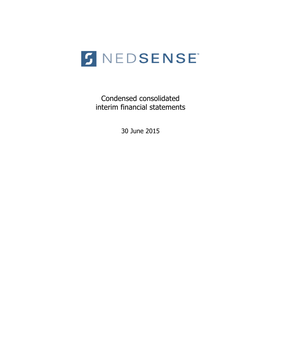

Condensed consolidated interim financial statements

30 June 2015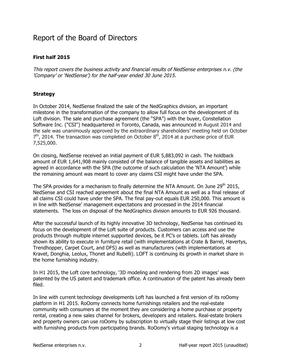### Report of the Board of Directors

#### **First half 2015**

This report covers the business activity and financial results of NedSense enterprises n.v. (the 'Company' or 'NedSense') for the half-year ended 30 June 2015.

#### **Strategy**

In October 2014, NedSense finalized the sale of the NedGraphics division, an important milestone in the transformation of the company to allow full focus on the development of its Loft division. The sale and purchase agreement (the "SPA") with the buyer, Constellation Software Inc. ("CSI") headquartered in Toronto, Canada, was announced in August 2014 and the sale was unanimously approved by the extraordinary shareholders' meeting held on October  $7<sup>th</sup>$ , 2014. The transaction was completed on October 8<sup>th</sup>, 2014 at a purchase price of EUR 7,525,000.

On closing, NedSense received an initial payment of EUR 5,883,092 in cash. The holdback amount of EUR 1,641,908 mainly consisted of the balance of tangible assets and liabilities as agreed in accordance with the SPA (the outcome of such calculation the 'NTA Amount') while the remaining amount was meant to cover any claims CSI might have under the SPA.

The SPA provides for a mechanism to finally determine the NTA Amount. On June 29<sup>th</sup> 2015, NedSense and CSI reached agreement about the final NTA Amount as well as a final release of all claims CSI could have under the SPA. The final pay-out equals EUR 250,000. This amount is in line with NedSense' management expectations and processed in the 2014 financial statements. The loss on disposal of the NedGraphics division amounts to EUR 926 thousand.

After the successful launch of its highly innovative 3D technology, NedSense has continued its focus on the development of the Loft suite of products. Customers can access and use the products through multiple internet supported devices, be it PC's or tablets. Loft has already shown its ability to execute in furniture retail (with implementations at Crate & Barrel, Havertys, Trendhopper, Carpet Court, and DFS) as well as manufacturers (with implementations at Kravet, Donghia, Leolux, Thonet and Rubelli). LOFT is continuing its growth in market share in the home furnishing industry.

In H1 2015, the Loft core technology, '3D modeling and rendering from 2D images' was patented by the US patent and trademark office. A continuation of the patent has already been filed.

In line with current technology developments Loft has launched a first version of its roOomy platform in H1 2015. RoOomy connects home furnishings retailers and the real-estate community with consumers at the moment they are considering a home purchase or property rental, creating a new sales channel for brokers, developers and retailers. Real-estate brokers and property owners can use roOomy by subscription to virtually stage their listings at low cost with furnishing products from participating brands. RoOomy's virtual staging technology is a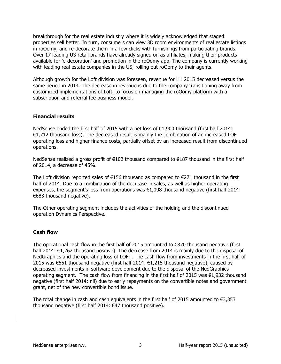breakthrough for the real estate industry where it is widely acknowledged that staged properties sell better. In turn, consumers can view 3D room environments of real estate listings in roOomy, and re-decorate them in a few clicks with furnishings from participating brands. Over 17 leading US retail brands have already signed on as affiliates, making their products available for 'e-decoration' and promotion in the roOomy app. The company is currently working with leading real estate companies in the US, rolling out roOomy to their agents.

Although growth for the Loft division was foreseen, revenue for H1 2015 decreased versus the same period in 2014. The decrease in revenue is due to the company transitioning away from customized implementations of Loft, to focus on managing the roOomy platform with a subscription and referral fee business model.

#### **Financial results**

NedSense ended the first half of 2015 with a net loss of  $€1,900$  thousand (first half 2014:  $E1,712$  thousand loss). The decreased result is mainly the combination of an increased LOFT operating loss and higher finance costs, partially offset by an increased result from discontinued operations.

NedSense realized a gross profit of €102 thousand compared to €187 thousand in the first half of 2014, a decrease of  $45%$ .

The Loft division reported sales of  $€156$  thousand as compared to  $€271$  thousand in the first half of 2014. Due to a combination of the decrease in sales, as well as higher operating expenses, the segment's loss from operations was  $\epsilon$ 1,098 thousand negative (first half 2014:  $€683$  thousand negative).

The Other operating segment includes the activities of the holding and the discontinued operation Dynamics Perspective.

#### **Cash flow**

The operational cash flow in the first half of 2015 amounted to  $€870$  thousand negative (first half 2014: €1,262 thousand positive). The decrease from 2014 is mainly due to the disposal of NedGraphics and the operating loss of LOFT. The cash flow from investments in the first half of 2015 was €551 thousand negative (first half 2014: €1,215 thousand negative), caused by decreased investments in software development due to the disposal of the NedGraphics operating segment. The cash flow from financing in the first half of 2015 was  $\epsilon$ 1,932 thousand negative (first half 2014: nil) due to early repayments on the convertible notes and government grant, net of the new convertible bond issue.

The total change in cash and cash equivalents in the first half of 2015 amounted to  $\epsilon$ 3,353 thousand negative (first half 2014:  $€47$  thousand positive).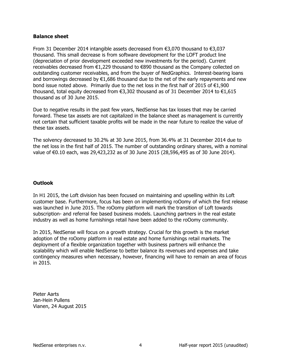#### **Balance sheet**

From 31 December 2014 intangible assets decreased from  $€3,070$  thousand to  $€3,037$ thousand. This small decrease is from software development for the LOFT product line (depreciation of prior development exceeded new investments for the period). Current receivables decreased from  $€1,229$  thousand to  $€890$  thousand as the Company collected on outstanding customer receivables, and from the buyer of NedGraphics. Interest-bearing loans and borrowings decreased by  $€1,686$  thousand due to the net of the early repayments and new bond issue noted above. Primarily due to the net loss in the first half of 2015 of  $\epsilon$ 1,900 thousand, total equity decreased from  $€3,302$  thousand as of 31 December 2014 to  $€1,615$ thousand as of 30 June 2015.

Due to negative results in the past few years, NedSense has tax losses that may be carried forward. These tax assets are not capitalized in the balance sheet as management is currently not certain that sufficient taxable profits will be made in the near future to realize the value of these tax assets.

The solvency decreased to 30.2% at 30 June 2015, from 36.4% at 31 December 2014 due to the net loss in the first half of 2015. The number of outstanding ordinary shares, with a nominal value of €0.10 each, was 29,423,232 as of 30 June 2015 (28,596,495 as of 30 June 2014).

#### **Outlook**

In H1 2015, the Loft division has been focused on maintaining and upselling within its Loft customer base. Furthermore, focus has been on implementing roOomy of which the first release was launched in June 2015. The roOomy platform will mark the transition of Loft towards subscription- and referral fee based business models. Launching partners in the real estate industry as well as home furnishings retail have been added to the roOomy community.

In 2015, NedSense will focus on a growth strategy. Crucial for this growth is the market adoption of the roOomy platform in real estate and home furnishings retail markets. The deployment of a flexible organization together with business partners will enhance the scalability which will enable NedSense to better balance its revenues and expenses and take contingency measures when necessary, however, financing will have to remain an area of focus in!2015.

Pieter Aarts Jan-Hein Pullens Vianen, 24 August 2015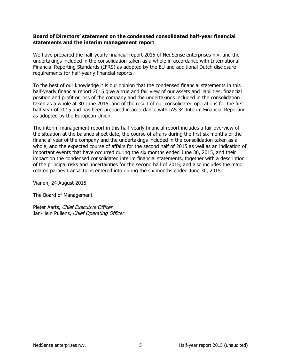#### Board of Directors' statement on the condensed consolidated half-year financial statements and the interim management report

We have prepared the half-yearly financial report 2015 of NedSense enterprises n.v. and the undertakings included in the consolidation taken as a whole in accordance with International Financial Reporting Standards (IFRS) as adopted by the EU and additional Dutch disclosure requirements for half-yearly financial reports.

To the best of our knowledge it is our opinion that the condensed financial statements in this half-yearly financial report 2015 give a true and fair view of our assets and liabilities, financial position and profit or loss of the company and the undertakings included in the consolidation taken as a whole at 30 June 2015, and of the result of our consolidated operations for the first half year of 2015 and has been prepared in accordance with IAS 34 Interim Financial Reporting as adopted by the European Union.

The interim management report in this half-yearly financial report includes a fair overview of the situation at the balance sheet date, the course of affairs during the first six months of the financial year of the company and the undertakings included in the consolidation taken as a whole, and the expected course of affairs for the second half of 2015 as well as an indication of important events that have occurred during the six months ended June 30, 2015, and their impact on the condensed consolidated interim financial statements, together with a description of the principal risks and uncertainties for the second half of 2015, and also includes the major related parties transactions entered into during the six months ended June 30, 2015.

Vianen, 24 August 2015

The Board of Management

Pieter Aarts, Chief Executive Officer Jan-Hein Pullens, Chief Operating Officer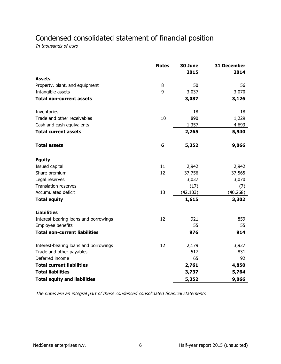## Condensed consolidated statement of financial position

In thousands of euro

|                                       | <b>Notes</b> | 30 June<br>2015 | 31 December<br>2014 |
|---------------------------------------|--------------|-----------------|---------------------|
| <b>Assets</b>                         |              |                 |                     |
| Property, plant, and equipment        | 8            | 50              | 56                  |
| Intangible assets                     | 9            | 3,037           | 3,070               |
| <b>Total non-current assets</b>       |              | 3,087           | 3,126               |
| Inventories                           |              | 18              | 18                  |
| Trade and other receivables           | 10           | 890             | 1,229               |
| Cash and cash equivalents             |              | 1,357           | 4,693               |
| <b>Total current assets</b>           |              | 2,265           | 5,940               |
| <b>Total assets</b>                   | 6            | 5,352           | 9,066               |
| <b>Equity</b>                         |              |                 |                     |
| Issued capital                        | 11           | 2,942           | 2,942               |
| Share premium                         | 12           | 37,756          | 37,565              |
| Legal reserves                        |              | 3,037           | 3,070               |
| <b>Translation reserves</b>           |              | (17)            | (7)                 |
| Accumulated deficit                   | 13           | (42, 103)       | (40, 268)           |
| <b>Total equity</b>                   |              | 1,615           | 3,302               |
| <b>Liabilities</b>                    |              |                 |                     |
| Interest-bearing loans and borrowings | 12           | 921             | 859                 |
| Employee benefits                     |              | 55              | 55                  |
| <b>Total non-current liabilities</b>  |              | 976             | 914                 |
| Interest-bearing loans and borrowings | 12           | 2,179           | 3,927               |
| Trade and other payables              |              | 517             | 831                 |
| Deferred income                       |              | 65              | 92                  |
| <b>Total current liabilities</b>      |              | 2,761           | 4,850               |
| <b>Total liabilities</b>              |              | 3,737           | 5,764               |
| <b>Total equity and liabilities</b>   |              | 5,352           | 9,066               |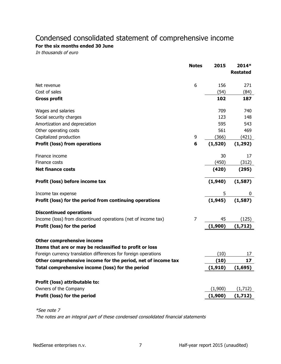# Condensed consolidated statement of comprehensive income

#### For the six months ended 30 June

In thousands of euro

| 6<br>Net revenue<br>Cost of sales<br><b>Gross profit</b><br>Wages and salaries<br>Social security charges<br>Amortization and depreciation<br>Other operating costs<br>9<br>Capitalized production<br><b>Profit (loss) from operations</b><br>6<br>Finance income<br>Finance costs<br><b>Net finance costs</b><br>Profit (loss) before income tax | 156<br>(54)<br>102<br>709<br>123<br>595<br>561<br>(366)<br>(1,520)<br>30<br>(450)<br>(420) | <b>Restated</b><br>271<br>(84)<br>187<br>740<br>148<br>543<br>469<br>(421)<br>(1, 292)<br>17<br>(312)<br>(295) |
|---------------------------------------------------------------------------------------------------------------------------------------------------------------------------------------------------------------------------------------------------------------------------------------------------------------------------------------------------|--------------------------------------------------------------------------------------------|----------------------------------------------------------------------------------------------------------------|
|                                                                                                                                                                                                                                                                                                                                                   |                                                                                            |                                                                                                                |
|                                                                                                                                                                                                                                                                                                                                                   |                                                                                            |                                                                                                                |
|                                                                                                                                                                                                                                                                                                                                                   |                                                                                            |                                                                                                                |
|                                                                                                                                                                                                                                                                                                                                                   |                                                                                            |                                                                                                                |
|                                                                                                                                                                                                                                                                                                                                                   |                                                                                            |                                                                                                                |
|                                                                                                                                                                                                                                                                                                                                                   |                                                                                            |                                                                                                                |
|                                                                                                                                                                                                                                                                                                                                                   |                                                                                            |                                                                                                                |
|                                                                                                                                                                                                                                                                                                                                                   |                                                                                            |                                                                                                                |
|                                                                                                                                                                                                                                                                                                                                                   |                                                                                            |                                                                                                                |
|                                                                                                                                                                                                                                                                                                                                                   |                                                                                            |                                                                                                                |
|                                                                                                                                                                                                                                                                                                                                                   |                                                                                            |                                                                                                                |
|                                                                                                                                                                                                                                                                                                                                                   |                                                                                            |                                                                                                                |
|                                                                                                                                                                                                                                                                                                                                                   |                                                                                            |                                                                                                                |
|                                                                                                                                                                                                                                                                                                                                                   | (1,940)                                                                                    | (1, 587)                                                                                                       |
| Income tax expense                                                                                                                                                                                                                                                                                                                                | 5                                                                                          | 0                                                                                                              |
| Profit (loss) for the period from continuing operations                                                                                                                                                                                                                                                                                           | (1, 945)                                                                                   | (1,587)                                                                                                        |
| <b>Discontinued operations</b>                                                                                                                                                                                                                                                                                                                    |                                                                                            |                                                                                                                |
| Income (loss) from discontinued operations (net of income tax)<br>7                                                                                                                                                                                                                                                                               | 45                                                                                         | (125)                                                                                                          |
| Profit (loss) for the period                                                                                                                                                                                                                                                                                                                      | (1,900)                                                                                    | (1, 712)                                                                                                       |
| <b>Other comprehensive income</b>                                                                                                                                                                                                                                                                                                                 |                                                                                            |                                                                                                                |
| Items that are or may be reclassified to profit or loss                                                                                                                                                                                                                                                                                           |                                                                                            |                                                                                                                |
| Foreign currency translation differences for foreign operations                                                                                                                                                                                                                                                                                   | (10)                                                                                       | 17                                                                                                             |
| Other comprehensive income for the period, net of income tax                                                                                                                                                                                                                                                                                      | (10)                                                                                       | 17                                                                                                             |
| Total comprehensive income (loss) for the period                                                                                                                                                                                                                                                                                                  | (1, 910)                                                                                   | <u>(1,695)</u>                                                                                                 |
|                                                                                                                                                                                                                                                                                                                                                   |                                                                                            |                                                                                                                |
| Profit (loss) attributable to:                                                                                                                                                                                                                                                                                                                    |                                                                                            |                                                                                                                |
| Owners of the Company                                                                                                                                                                                                                                                                                                                             | (1,900)                                                                                    | (1,712)                                                                                                        |
| Profit (loss) for the period                                                                                                                                                                                                                                                                                                                      | (1,900)                                                                                    | (1, 712)                                                                                                       |

\*See note 7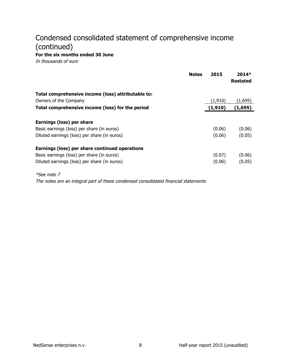# Condensed consolidated statement of comprehensive income (continued)

For the six months ended 30 June

In thousands of euro

|                                                                                                                                              | <b>Notes</b> | 2015             | $2014*$<br><b>Restated</b> |
|----------------------------------------------------------------------------------------------------------------------------------------------|--------------|------------------|----------------------------|
| Total comprehensive income (loss) attributable to:                                                                                           |              |                  |                            |
| Owners of the Company                                                                                                                        |              | (1, 910)         | (1,695)                    |
| Total comprehensive income (loss) for the period                                                                                             |              | (1,910)          | (1,695)                    |
| Earnings (loss) per share<br>Basic earnings (loss) per share (in euros)<br>Diluted earnings (loss) per share (in euros)                      |              | (0.06)<br>(0.06) | (0.06)<br>(0.05)           |
| Earnings (loss) per share continued operations<br>Basic earnings (loss) per share (in euros)<br>Diluted earnings (loss) per share (in euros) |              | (0.07)<br>(0.06) | (0.06)<br>(0.05)           |
| <i>*See note 7</i>                                                                                                                           |              |                  |                            |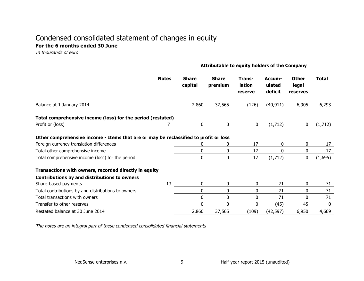#### Condensed consolidated statement of changes in equity For the 6 months ended 30 June

In thousands of euro

#### Attributable to equity holders of the Company

|                                                                                      | <b>Notes</b> | <b>Share</b><br>capital | <b>Share</b><br>premium | Trans-<br>lation<br>reserve | Accum-<br>ulated<br>deficit | <b>Other</b><br>legal<br>reserves | Total       |
|--------------------------------------------------------------------------------------|--------------|-------------------------|-------------------------|-----------------------------|-----------------------------|-----------------------------------|-------------|
| Balance at 1 January 2014                                                            |              | 2,860                   | 37,565                  | (126)                       | (40, 911)                   | 6,905                             | 6,293       |
| Total comprehensive income (loss) for the period (restated)                          |              |                         |                         |                             |                             |                                   |             |
| Profit or (loss)                                                                     |              | 0                       | $\bf{0}$                | 0                           | (1,712)                     | 0                                 | (1,712)     |
| Other comprehensive income - Items that are or may be reclassified to profit or loss |              |                         |                         |                             |                             |                                   |             |
| Foreign currency translation differences                                             |              |                         | 0                       | 17                          | 0                           | 0                                 | 17          |
| Total other comprehensive income                                                     |              | 0                       | 0                       | 17                          | 0                           | 0                                 | 17          |
| Total comprehensive income (loss) for the period                                     |              | $\Omega$                | 0                       | 17                          | (1,712)                     | 0                                 | (1,695)     |
| Transactions with owners, recorded directly in equity                                |              |                         |                         |                             |                             |                                   |             |
| Contributions by and distributions to owners                                         |              |                         |                         |                             |                             |                                   |             |
| Share-based payments                                                                 | 13           | 0                       | 0                       | 0                           | 71                          | 0                                 | 71          |
| Total contributions by and distributions to owners                                   |              | $\mathbf{0}$            | 0                       | 0                           | 71                          | 0                                 | 71          |
| Total transactions with owners                                                       |              | 0                       | 0                       | $\mathbf{0}$                | 71                          | 0                                 | 71          |
| Transfer to other reserves                                                           |              | 0                       | $\mathbf 0$             | 0                           | (45)                        | 45                                | $\mathbf 0$ |
| Restated balance at 30 June 2014                                                     |              | 2,860                   | 37,565                  | (109)                       | (42, 597)                   | 6,950                             | 4,669       |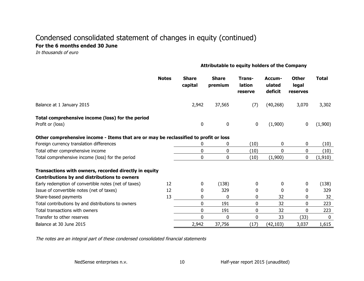### Condensed consolidated statement of changes in equity (continued) For the 6 months ended 30 June

In thousands of euro

#### Attributable to equity holders of the Company

|                                                                                      | <b>Notes</b> | <b>Share</b><br>capital | <b>Share</b><br>premium | Trans-<br>lation<br>reserve | Accum-<br>ulated<br>deficit | <b>Other</b><br>legal<br>reserves | <b>Total</b> |
|--------------------------------------------------------------------------------------|--------------|-------------------------|-------------------------|-----------------------------|-----------------------------|-----------------------------------|--------------|
| Balance at 1 January 2015                                                            |              | 2,942                   | 37,565                  | (7)                         | (40, 268)                   | 3,070                             | 3,302        |
| Total comprehensive income (loss) for the period<br>Profit or (loss)                 |              | $\mathbf{0}$            | 0                       | $\mathbf 0$                 | (1,900)                     | 0                                 | (1,900)      |
| Other comprehensive income - Items that are or may be reclassified to profit or loss |              |                         |                         |                             |                             |                                   |              |
| Foreign currency translation differences                                             |              | 0                       | 0                       | (10)                        | 0                           | 0                                 | (10)         |
| Total other comprehensive income                                                     |              | 0                       | 0                       | (10)                        | $\mathbf{0}$                | 0                                 | (10)         |
| Total comprehensive income (loss) for the period                                     |              | $\Omega$                | 0                       | (10)                        | (1,900)                     | 0                                 | (1, 910)     |
| Transactions with owners, recorded directly in equity                                |              |                         |                         |                             |                             |                                   |              |
| Contributions by and distributions to owners                                         |              |                         |                         |                             |                             |                                   |              |
| Early redemption of convertible notes (net of taxes)                                 | 12           | 0                       | (138)                   | 0                           | 0                           | 0                                 | (138)        |
| Issue of convertible notes (net of taxes)                                            | 12           | 0                       | 329                     | 0                           | $\Omega$                    | 0                                 | 329          |
| Share-based payments                                                                 | 13           | $\mathbf{0}$            | 0                       | 0                           | 32                          | 0                                 | 32           |
| Total contributions by and distributions to owners                                   |              | $\mathbf{0}$            | 191                     | 0                           | 32                          | 0                                 | 223          |
| Total transactions with owners                                                       |              | 0                       | 191                     | 0                           | 32                          | 0                                 | 223          |
| Transfer to other reserves                                                           |              | $\Omega$                | 0                       | 0                           | 33                          | (33)                              | $\mathbf{0}$ |
| Balance at 30 June 2015                                                              |              | 2,942                   | 37,756                  | (17)                        | (42, 103)                   | 3,037                             | 1,615        |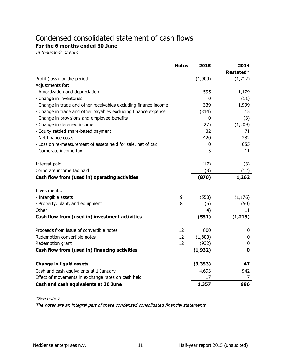# Condensed consolidated statement of cash flows

For the 6 months ended 30 June

In thousands of euro

|                                                                  | <b>Notes</b> | 2015     | 2014        |
|------------------------------------------------------------------|--------------|----------|-------------|
|                                                                  |              |          | Restated*   |
| Profit (loss) for the period                                     |              | (1,900)  | (1,712)     |
| Adjustments for:                                                 |              |          |             |
| - Amortization and depreciation                                  |              | 595      | 1,179       |
| - Change in inventories                                          |              | 0        | (11)        |
| - Change in trade and other receivables excluding finance income |              | 339      | 1,999       |
| - Change in trade and other payables excluding finance expense   |              | (314)    | 15          |
| - Change in provisions and employee benefits                     |              | 0        | (3)         |
| - Change in deferred income                                      |              | (27)     | (1,209)     |
| - Equity settled share-based payment                             |              | 32       | 71          |
| - Net finance costs                                              |              | 420      | 282         |
| - Loss on re-measurement of assets held for sale, net of tax     |              | 0        | 655         |
| - Corporate income tax                                           |              | 5        | 11          |
|                                                                  |              |          |             |
| Interest paid                                                    |              | (17)     | (3)         |
| Corporate income tax paid                                        |              | (3)      | (12)        |
| Cash flow from (used in) operating activities                    |              | (870)    | 1,262       |
|                                                                  |              |          |             |
| Investments:                                                     |              |          |             |
| - Intangible assets                                              | 9            | (550)    | (1, 176)    |
| - Property, plant, and equipment                                 | 8            | (5)      | (50)        |
| Other                                                            |              | 4)       | 11          |
| Cash flow from (used in) investment activities                   |              | (551)    | (1, 215)    |
|                                                                  |              |          |             |
| Proceeds from issue of convertible notes                         | 12           | 800      | 0           |
| Redemption convertible notes                                     | 12           | (1,800)  | 0           |
| Redemption grant                                                 | 12           | (932)    | 0           |
| Cash flow from (used in) financing activities                    |              | (1, 932) | $\mathbf 0$ |
|                                                                  |              |          |             |
| <b>Change in liquid assets</b>                                   |              | (3, 353) | 47          |
| Cash and cash equivalents at 1 January                           |              | 4,693    | 942         |
| Effect of movements in exchange rates on cash held               |              | 17       | 7           |
| Cash and cash equivalents at 30 June                             |              | 1,357    | 996         |

\*See'note'7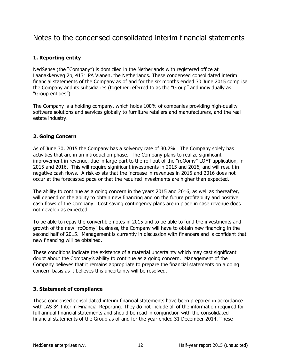### Notes to the condensed consolidated interim financial statements

#### **1. Reporting entity**

NedSense (the "Company") is domiciled in the Netherlands with registered office at Laanakkerweg 2b, 4131 PA Vianen, the Netherlands. These condensed consolidated interim financial statements of the Company as of and for the six months ended 30 June 2015 comprise the Company and its subsidiaries (together referred to as the "Group" and individually as "Group entities").

The Company is a holding company, which holds 100% of companies providing high-quality software'solutions' and services globally to furniture retailers and manufacturers, and the real estate industry.

#### **2. Going Concern**

As of June 30, 2015 the Company has a solvency rate of 30.2%. The Company solely has activities that are in an introduction phase. The Company plans to realize significant improvement in revenue, due in large part to the roll-out of the "roOomy" LOFT application, in 2015 and 2016. This will require significant investments in 2015 and 2016, and will result in negative cash flows. A risk exists that the increase in revenues in 2015 and 2016 does not occur at the forecasted pace or that the required investments are higher than expected.

The ability to continue as a going concern in the years 2015 and 2016, as well as thereafter, will depend on the ability to obtain new financing and on the future profitability and positive cash flows of the Company. Cost saving contingency plans are in place in case revenue does not develop as expected.

To be able to repay the convertible notes in 2015 and to be able to fund the investments and growth of the new "roOomy" business, the Company will have to obtain new financing in the second half of 2015. Management is currently in discussion with financers and is confident that new financing will be obtained.

These conditions indicate the existence of a material uncertainty which may cast significant doubt about the Company's ability to continue as a going concern. Management of the Company believes that it remains appropriate to prepare the financial statements on a going concern basis as it believes this uncertainty will be resolved.

#### **3. Statement of compliance**

These condensed consolidated interim financial statements have been prepared in accordance with IAS 34 Interim Financial Reporting. They do not include all of the information required for full annual financial statements and should be read in conjunction with the consolidated financial statements of the Group as of and for the year ended 31 December 2014. These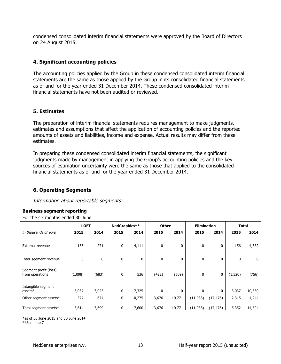condensed'consolidated'interim'financial'statements'were'approved'by'the'Board'of'Directors' on 24 August 2015.

#### **4. Significant accounting policies**

The accounting policies applied by the Group in these condensed consolidated interim financial statements are the same as those applied by the Group in its consolidated financial statements as of and for the year ended 31 December 2014. These condensed consolidated interim financial statements have not been audited or reviewed.

#### **5.\$Estimates\$**

The preparation of interim financial statements requires management to make judgments, estimates and assumptions that affect the application of accounting policies and the reported amounts of assets and liabilities, income and expense. Actual results may differ from these estimates.'

In preparing these condensed consolidated interim financial statements, the significant judgments made by management in applying the Group's accounting policies and the key sources of estimation uncertainty were the same as those that applied to the consolidated financial statements as of and for the year ended 31 December 2014.

#### **6. Operating Segments**

Information about reportable segments:

#### **Business segment reporting**

For the six months ended 30 June

|                                          | <b>LOFT</b> |              | NedGraphics** |        | <b>Other</b> |        | <b>Elimination</b> |             | <b>Total</b> |        |
|------------------------------------------|-------------|--------------|---------------|--------|--------------|--------|--------------------|-------------|--------------|--------|
| in thousands of euro                     | 2015        | 2014         | 2015          | 2014   | 2015         | 2014   | 2015               | 2014        | 2015         | 2014   |
| <b>External revenues</b>                 | 156         | 271          | 0             | 4,111  | $\mathbf 0$  | 0      | 0                  | $\mathbf 0$ | 156          | 4,382  |
| Inter-segment revenue                    | 0           | $\mathbf{0}$ | 0             | 0      | $\mathbf 0$  | 0      | 0                  | 0           | 0            | 0      |
| Segment profit (loss)<br>from operations | (1,098)     | (683)        | 0             | 536    | (422)        | (609)  | $\mathbf 0$        | 0           | (1,520)      | (756)  |
| Intangible segment<br>assets $*$         | 3,037       | 3,025        | 0             | 7,325  | $\mathbf{0}$ | 0      | $\mathbf 0$        | $\mathbf 0$ | 3,037        | 10,350 |
| Other segment assets*                    | 577         | 674          | 0             | 10,275 | 13,676       | 10,771 | (11, 938)          | (17, 476)   | 2,315        | 4,244  |
| Total segment assets*                    | 3,614       | 3,699        | 0             | 17,600 | 13,676       | 10,771 | (11, 938)          | (17, 476)   | 5,352        | 14,594 |

\*as'of'30'June'2015'and'30'June'2014 \*\*See note 7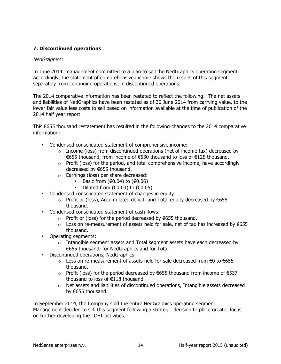#### **7.\$Discontinued\$operations**

#### NedGraphics:

In June 2014, management committed to a plan to sell the NedGraphics operating segment. Accordingly, the statement of comprehensive income shows the results of this segment separately from continuing operations, in discontinued operations.

The 2014 comparative information has been restated to reflect the following. The net assets and liabilities of NedGraphics have been restated as of 30 June 2014 from carrying value, to the lower fair value less costs to sell based on information available at the time of publication of the 2014 half year report.

This €655 thousand restatement has resulted in the following changes to the 2014 comparative information:

- Condensed consolidated statement of comprehensive income:
	- $\circ$  Income (loss) from discontinued operations (net of income tax) decreased by €655'thousand,'from'income'of'€530'thousand'to'loss'of'€125'thousand.
	- $\circ$  Profit (loss) for the period, and total comprehensive income, have accordingly decreased by €655 thousand.
	- $\circ$  Earnings (loss) per share decreased:
		- Basic from  $(€0.04)$  to  $(€0.06)$
		- Diluted from  $(€0.03)$  to  $(€0.05)$
- Condensed consolidated statement of changes in equity:
	- o Profit or (loss), Accumulated deficit, and Total equity decreased by €655 thousand.
- Condensed consolidated statement of cash flows:
	- o Profit or (loss) for the period decreased by €655 thousand.
	- $\circ$  Loss on re-measurement of assets held for sale, net of tax has increased by €655 thousand.
- Operating segments:
	- $\circ$  Intangible segment assets and Total segment assets have each decreased by €655 thousand, for NedGraphics and for Total.
- Discontinued operations, NedGraphics:
	- o Loss on re-measurement of assets held for sale decreased from €0 to €655 thousand.
	- o Profit (loss) for the period decreased by €655 thousand from income of €537 thousand to loss of €118 thousand.
	- $\circ$  Net assets and liabilities of discontinued operations, Intangible assets decreased by  $\epsilon$ 655 thousand.

In September 2014, the Company sold the entire NedGraphics operating segment. Management decided to sell this segment following a strategic decision to place greater focus on further developing the LOFT activities.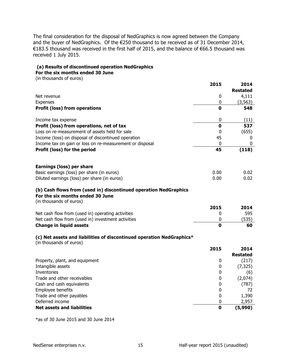The final consideration for the disposal of NedGraphics is now agreed between the Company and the buyer of NedGraphics. Of the €250 thousand to be received as of 31 December 2014, €183.5 thousand was received in the first half of 2015, and the balance of €66.5 thousand was received 1 July 2015.

#### **(a)\$Results\$of\$discontinued\$operation NedGraphics**

For the six months ended 30 June

(in thousands of euros)

|                                                                                                                                 | 2015        | 2014                     |
|---------------------------------------------------------------------------------------------------------------------------------|-------------|--------------------------|
|                                                                                                                                 | 0           | <b>Restated</b><br>4,111 |
| Net revenue<br>Expenses                                                                                                         | 0           | (3, 563)                 |
| <b>Profit (loss) from operations</b>                                                                                            | 0           | 548                      |
|                                                                                                                                 |             |                          |
| Income tax expense                                                                                                              | 0           | (11)                     |
| Profit (loss) from operations, net of tax                                                                                       | $\mathbf 0$ | 537                      |
| Loss on re-measurement of assets held for sale                                                                                  | 0           | (655)                    |
| Income (loss) on disposal of discontinued operation                                                                             | 45          | 0                        |
| Income tax on gain or loss on re-measurement or disposal                                                                        | 0           | 0                        |
| Profit (loss) for the period                                                                                                    | 45          | (118)                    |
|                                                                                                                                 |             |                          |
| Earnings (loss) per share                                                                                                       |             |                          |
| Basic earnings (loss) per share (in euros)                                                                                      | 0.00        | 0.02                     |
| Diluted earnings (loss) per share (in euros)                                                                                    | 0.00        | 0.02                     |
| (b) Cash flows from (used in) discontinued operation NedGraphics<br>For the six months ended 30 June<br>(in thousands of euros) |             |                          |
|                                                                                                                                 | 2015        | 2014                     |
| Net cash flow from (used in) operating activities                                                                               | 0           | 595                      |
| Net cash flow from (used in) investment activities                                                                              | $\pmb{0}$   | (535)                    |
| <b>Change in liquid assets</b>                                                                                                  | $\Omega$    | 60                       |
| (c) Net assets and liabilities of discontinued operation NedGraphics*<br>(in thousands of euros)                                |             |                          |
|                                                                                                                                 | 2015        | 2014                     |
|                                                                                                                                 |             | <b>Restated</b>          |
| Property, plant, and equipment                                                                                                  | 0           | (217)                    |
| Intangible assets                                                                                                               | 0           | (7, 325)                 |
| Inventories                                                                                                                     | 0           | (6)                      |
| Trade and other receivables                                                                                                     | 0           | (2,074)                  |
| Cash and cash equivalents                                                                                                       | 0           | (787)                    |
| Employee benefits                                                                                                               | 0           | 72                       |
| Trade and other payables                                                                                                        | $\bf{0}$    | 1,390                    |
| Deferred income                                                                                                                 | 0           | 2,957                    |
| <b>Net assets and liabilities</b>                                                                                               | $\mathbf 0$ | (5,990)                  |

 $*$ as of 30 June 2015 and 30 June 2014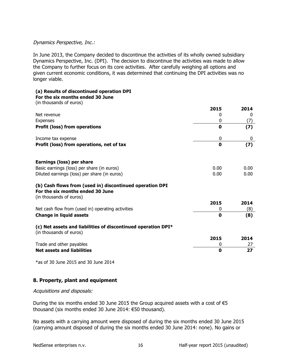#### Dynamics Perspective, Inc.:

In June 2013, the Company decided to discontinue the activities of its wholly owned subsidiary Dynamics Perspective, Inc. (DPI). The decision to discontinue the activities was made to allow the Company to further focus on its core activities. After carefully weighing all options and given current economic conditions, it was determined that continuing the DPI activities was no longer viable.

#### **(a)\$Results\$of\$discontinued\$operation DPI**

#### For the six months ended 30 June

| (in thousands of euros)                                                                                                 |             |      |
|-------------------------------------------------------------------------------------------------------------------------|-------------|------|
|                                                                                                                         | 2015        | 2014 |
| Net revenue                                                                                                             | $\Omega$    | 0    |
| Expenses                                                                                                                | 0           | (7)  |
| <b>Profit (loss) from operations</b>                                                                                    | $\mathbf 0$ | (7)  |
| Income tax expense                                                                                                      | 0           | 0    |
| Profit (loss) from operations, net of tax                                                                               | $\mathbf 0$ | (7)  |
| <b>Earnings (loss) per share</b>                                                                                        |             |      |
| Basic earnings (loss) per share (in euros)                                                                              | 0.00        | 0.00 |
| Diluted earnings (loss) per share (in euros)                                                                            | 0.00        | 0.00 |
| (b) Cash flows from (used in) discontinued operation DPI<br>For the six months ended 30 June<br>(in thousands of euros) |             |      |
|                                                                                                                         | 2015        | 2014 |
| Net cash flow from (used in) operating activities                                                                       | 0           | (8)  |
| <b>Change in liquid assets</b>                                                                                          | $\mathbf 0$ | (8)  |
| (c) Net assets and liabilities of discontinued operation DPI*<br>(in thousands of euros)                                |             |      |
|                                                                                                                         | 2015        | 2014 |
| Trade and other payables                                                                                                | 0           | 27   |
| <b>Net assets and liabilities</b>                                                                                       | $\mathbf 0$ | 27   |

 $*$ as of 30 June 2015 and 30 June 2014

#### **8. Property, plant and equipment**

#### Acquisitions and disposals:

During the six months ended 30 June 2015 the Group acquired assets with a cost of €5 thousand (six months ended 30 June 2014: €50 thousand).

No assets with a carrying amount were disposed of during the six months ended 30 June 2015 (carrying amount disposed of during the six months ended 30 June 2014: none). No gains or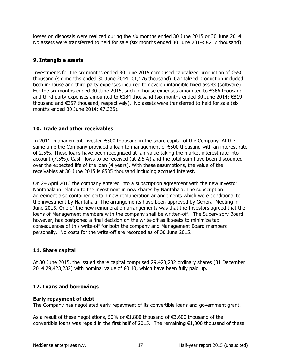losses on disposals were realized during the six months ended 30 June 2015 or 30 June 2014. No assets were transferred to held for sale (six months ended 30 June 2014: €217 thousand).

#### **9. Intangible assets**

Investments for the six months ended 30 June 2015 comprised capitalized production of €550 thousand (six months ended 30 June 2014: €1,176 thousand). Capitalized production included both in-house and third party expenses incurred to develop intangible fixed assets (software). For the six months ended 30 June 2015, such in-house expenses amounted to €366 thousand and third party expenses amounted to €184 thousand (six months ended 30 June 2014: €819 thousand and €357 thousand, respectively). No assets were transferred to held for sale (six months ended 30 June 2014:  $(7.325)$ .

#### **10. Trade and other receivables**

In 2011, management invested  $\epsilon$ 500 thousand in the share capital of the Company. At the same time the Company provided a loan to management of €500 thousand with an interest rate of 2.5%. These loans have been recognized at fair value taking the market interest rate into account (7.5%). Cash flows to be received (at 2.5%) and the total sum have been discounted over the expected life of the loan (4 years). With these assumptions, the value of the receivables at 30 June 2015 is €535 thousand including accrued interest.

On 24 April 2013 the company entered into a subscription agreement with the new investor Nantahala in relation to the investment in new shares by Nantahala. The subscription agreement also contained certain new remuneration arrangements which were conditional to the investment by Nantahala. The arrangements have been approved by General Meeting in June 2013. One of the new remuneration arrangements was that the Investors agreed that the loans of Management members with the company shall be written-off. The Supervisory Board however, has postponed a final decision on the write-off as it seeks to minimize tax consequences of this write-off for both the company and Management Board members personally. No costs for the write-off are recorded as of 30 June 2015.

#### **11. Share capital**

At 30 June 2015, the issued share capital comprised 29,423,232 ordinary shares (31 December) 2014 29,423,232) with nominal value of  $€0.10$ , which have been fully paid up.

#### **12. Loans and borrowings**

#### **Early repayment of debt**

The Company has negotiated early repayment of its convertible loans and government grant.

As a result of these negotiations, 50% or  $€1,800$  thousand of  $€3,600$  thousand of the convertible loans was repaid in the first half of 2015. The remaining €1,800 thousand of these